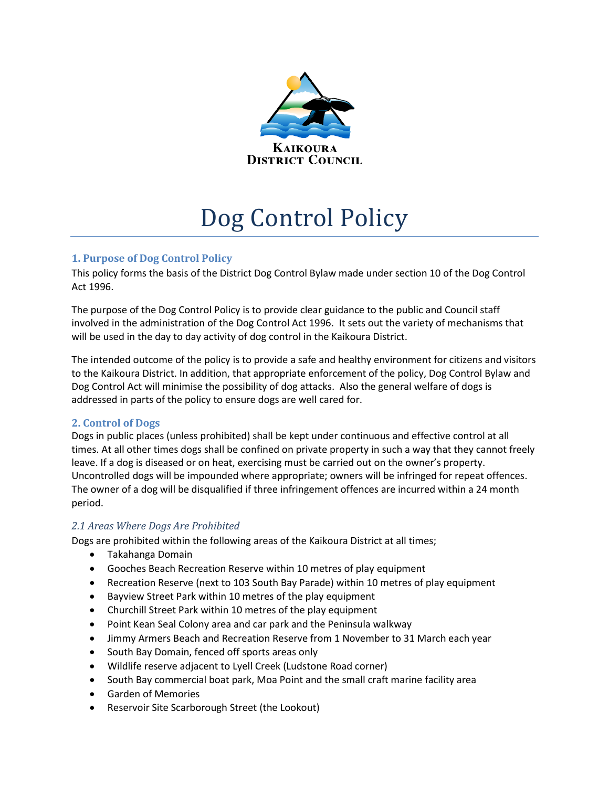

# Dog Control Policy

# **1. Purpose of Dog Control Policy**

This policy forms the basis of the District Dog Control Bylaw made under section 10 of the Dog Control Act 1996.

The purpose of the Dog Control Policy is to provide clear guidance to the public and Council staff involved in the administration of the Dog Control Act 1996. It sets out the variety of mechanisms that will be used in the day to day activity of dog control in the Kaikoura District.

The intended outcome of the policy is to provide a safe and healthy environment for citizens and visitors to the Kaikoura District. In addition, that appropriate enforcement of the policy, Dog Control Bylaw and Dog Control Act will minimise the possibility of dog attacks. Also the general welfare of dogs is addressed in parts of the policy to ensure dogs are well cared for.

# **2. Control of Dogs**

Dogs in public places (unless prohibited) shall be kept under continuous and effective control at all times. At all other times dogs shall be confined on private property in such a way that they cannot freely leave. If a dog is diseased or on heat, exercising must be carried out on the owner's property. Uncontrolled dogs will be impounded where appropriate; owners will be infringed for repeat offences. The owner of a dog will be disqualified if three infringement offences are incurred within a 24 month period.

# *2.1 Areas Where Dogs Are Prohibited*

Dogs are prohibited within the following areas of the Kaikoura District at all times;

- Takahanga Domain
- Gooches Beach Recreation Reserve within 10 metres of play equipment
- Recreation Reserve (next to 103 South Bay Parade) within 10 metres of play equipment
- Bayview Street Park within 10 metres of the play equipment
- Churchill Street Park within 10 metres of the play equipment
- Point Kean Seal Colony area and car park and the Peninsula walkway
- Jimmy Armers Beach and Recreation Reserve from 1 November to 31 March each year
- South Bay Domain, fenced off sports areas only
- Wildlife reserve adjacent to Lyell Creek (Ludstone Road corner)
- South Bay commercial boat park, Moa Point and the small craft marine facility area
- Garden of Memories
- Reservoir Site Scarborough Street (the Lookout)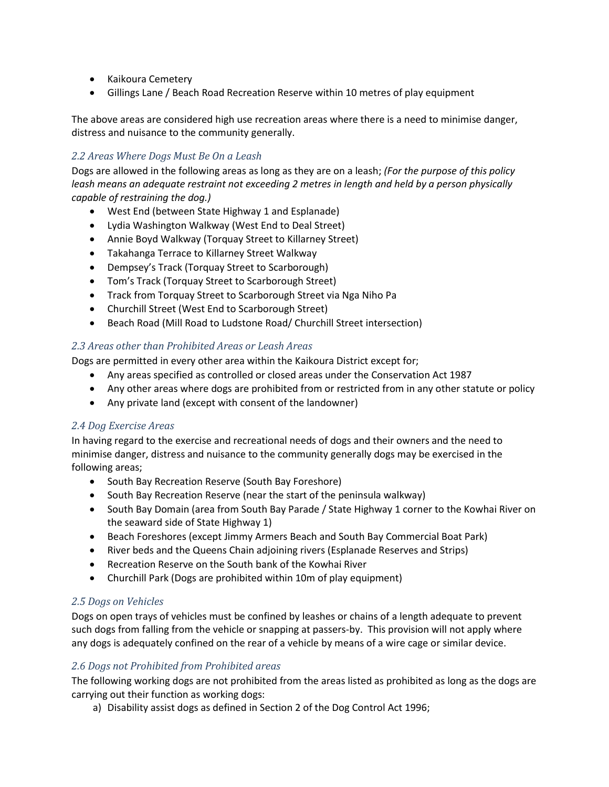- Kaikoura Cemetery
- Gillings Lane / Beach Road Recreation Reserve within 10 metres of play equipment

The above areas are considered high use recreation areas where there is a need to minimise danger, distress and nuisance to the community generally.

## *2.2 Areas Where Dogs Must Be On a Leash*

Dogs are allowed in the following areas as long as they are on a leash; *(For the purpose of this policy leash means an adequate restraint not exceeding 2 metres in length and held by a person physically capable of restraining the dog.)*

- West End (between State Highway 1 and Esplanade)
- Lydia Washington Walkway (West End to Deal Street)
- Annie Boyd Walkway (Torquay Street to Killarney Street)
- Takahanga Terrace to Killarney Street Walkway
- Dempsey's Track (Torquay Street to Scarborough)
- Tom's Track (Torquay Street to Scarborough Street)
- Track from Torquay Street to Scarborough Street via Nga Niho Pa
- Churchill Street (West End to Scarborough Street)
- Beach Road (Mill Road to Ludstone Road/ Churchill Street intersection)

#### *2.3 Areas other than Prohibited Areas or Leash Areas*

Dogs are permitted in every other area within the Kaikoura District except for;

- Any areas specified as controlled or closed areas under the Conservation Act 1987
- Any other areas where dogs are prohibited from or restricted from in any other statute or policy
- Any private land (except with consent of the landowner)

#### *2.4 Dog Exercise Areas*

In having regard to the exercise and recreational needs of dogs and their owners and the need to minimise danger, distress and nuisance to the community generally dogs may be exercised in the following areas;

- South Bay Recreation Reserve (South Bay Foreshore)
- South Bay Recreation Reserve (near the start of the peninsula walkway)
- South Bay Domain (area from South Bay Parade / State Highway 1 corner to the Kowhai River on the seaward side of State Highway 1)
- Beach Foreshores (except Jimmy Armers Beach and South Bay Commercial Boat Park)
- River beds and the Queens Chain adjoining rivers (Esplanade Reserves and Strips)
- Recreation Reserve on the South bank of the Kowhai River
- Churchill Park (Dogs are prohibited within 10m of play equipment)

# *2.5 Dogs on Vehicles*

Dogs on open trays of vehicles must be confined by leashes or chains of a length adequate to prevent such dogs from falling from the vehicle or snapping at passers-by. This provision will not apply where any dogs is adequately confined on the rear of a vehicle by means of a wire cage or similar device.

# *2.6 Dogs not Prohibited from Prohibited areas*

The following working dogs are not prohibited from the areas listed as prohibited as long as the dogs are carrying out their function as working dogs:

a) Disability assist dogs as defined in Section 2 of the Dog Control Act 1996;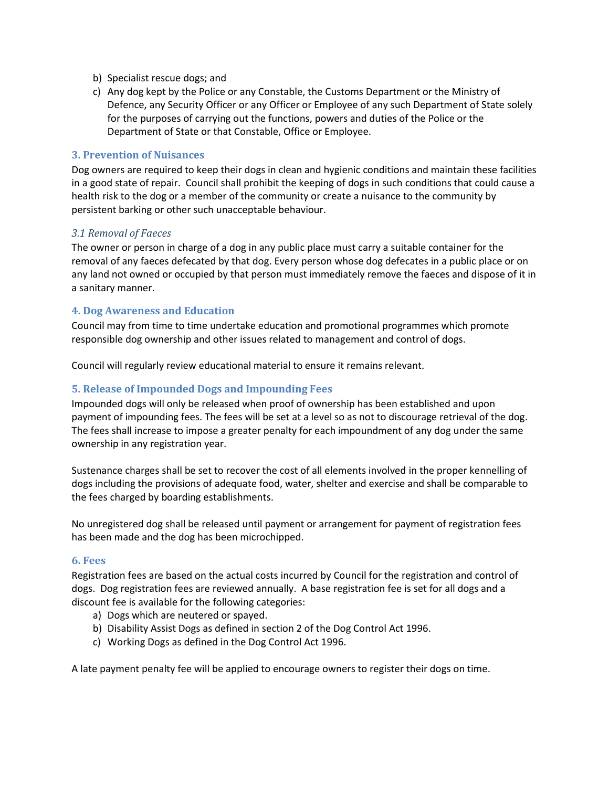- b) Specialist rescue dogs; and
- c) Any dog kept by the Police or any Constable, the Customs Department or the Ministry of Defence, any Security Officer or any Officer or Employee of any such Department of State solely for the purposes of carrying out the functions, powers and duties of the Police or the Department of State or that Constable, Office or Employee.

#### **3. Prevention of Nuisances**

Dog owners are required to keep their dogs in clean and hygienic conditions and maintain these facilities in a good state of repair. Council shall prohibit the keeping of dogs in such conditions that could cause a health risk to the dog or a member of the community or create a nuisance to the community by persistent barking or other such unacceptable behaviour.

#### *3.1 Removal of Faeces*

The owner or person in charge of a dog in any public place must carry a suitable container for the removal of any faeces defecated by that dog. Every person whose dog defecates in a public place or on any land not owned or occupied by that person must immediately remove the faeces and dispose of it in a sanitary manner.

#### **4. Dog Awareness and Education**

Council may from time to time undertake education and promotional programmes which promote responsible dog ownership and other issues related to management and control of dogs.

Council will regularly review educational material to ensure it remains relevant.

#### **5. Release of Impounded Dogs and Impounding Fees**

Impounded dogs will only be released when proof of ownership has been established and upon payment of impounding fees. The fees will be set at a level so as not to discourage retrieval of the dog. The fees shall increase to impose a greater penalty for each impoundment of any dog under the same ownership in any registration year.

Sustenance charges shall be set to recover the cost of all elements involved in the proper kennelling of dogs including the provisions of adequate food, water, shelter and exercise and shall be comparable to the fees charged by boarding establishments.

No unregistered dog shall be released until payment or arrangement for payment of registration fees has been made and the dog has been microchipped.

#### **6. Fees**

Registration fees are based on the actual costs incurred by Council for the registration and control of dogs. Dog registration fees are reviewed annually. A base registration fee is set for all dogs and a discount fee is available for the following categories:

- a) Dogs which are neutered or spayed.
- b) Disability Assist Dogs as defined in section 2 of the Dog Control Act 1996.
- c) Working Dogs as defined in the Dog Control Act 1996.

A late payment penalty fee will be applied to encourage owners to register their dogs on time.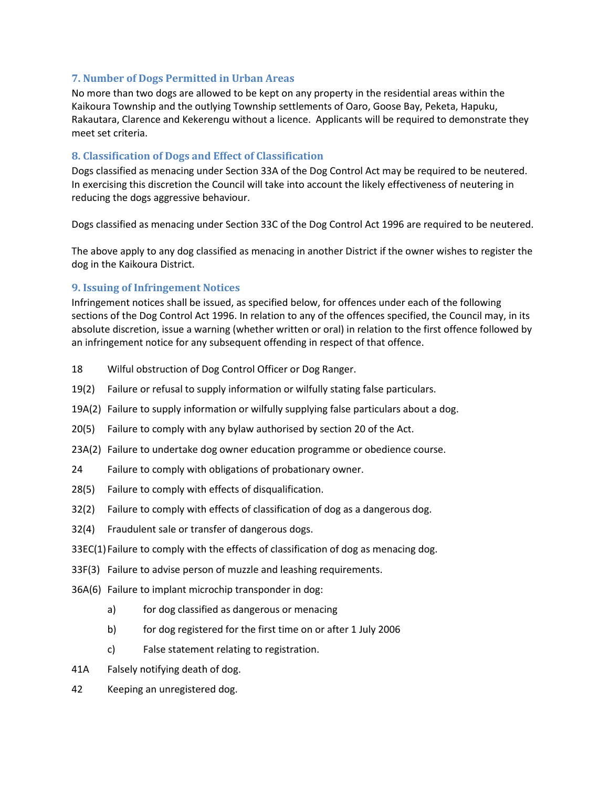## **7. Number of Dogs Permitted in Urban Areas**

No more than two dogs are allowed to be kept on any property in the residential areas within the Kaikoura Township and the outlying Township settlements of Oaro, Goose Bay, Peketa, Hapuku, Rakautara, Clarence and Kekerengu without a licence. Applicants will be required to demonstrate they meet set criteria.

## **8. Classification of Dogs and Effect of Classification**

Dogs classified as menacing under Section 33A of the Dog Control Act may be required to be neutered. In exercising this discretion the Council will take into account the likely effectiveness of neutering in reducing the dogs aggressive behaviour.

Dogs classified as menacing under Section 33C of the Dog Control Act 1996 are required to be neutered.

The above apply to any dog classified as menacing in another District if the owner wishes to register the dog in the Kaikoura District.

## **9. Issuing of Infringement Notices**

Infringement notices shall be issued, as specified below, for offences under each of the following sections of the Dog Control Act 1996. In relation to any of the offences specified, the Council may, in its absolute discretion, issue a warning (whether written or oral) in relation to the first offence followed by an infringement notice for any subsequent offending in respect of that offence.

- 18 Wilful obstruction of Dog Control Officer or Dog Ranger.
- 19(2) Failure or refusal to supply information or wilfully stating false particulars.
- 19A(2) Failure to supply information or wilfully supplying false particulars about a dog.
- 20(5) Failure to comply with any bylaw authorised by section 20 of the Act.
- 23A(2) Failure to undertake dog owner education programme or obedience course.
- 24 Failure to comply with obligations of probationary owner.
- 28(5) Failure to comply with effects of disqualification.
- 32(2) Failure to comply with effects of classification of dog as a dangerous dog.
- 32(4) Fraudulent sale or transfer of dangerous dogs.
- 33EC(1)Failure to comply with the effects of classification of dog as menacing dog.
- 33F(3) Failure to advise person of muzzle and leashing requirements.
- 36A(6) Failure to implant microchip transponder in dog:
	- a) for dog classified as dangerous or menacing
	- b) for dog registered for the first time on or after 1 July 2006
	- c) False statement relating to registration.
- 41A Falsely notifying death of dog.
- 42 Keeping an unregistered dog.